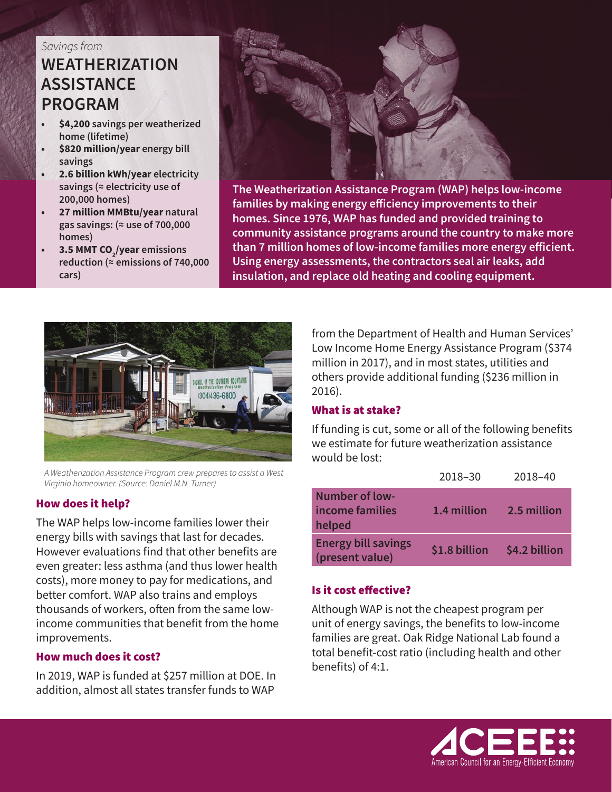#### *Savings from*

# **WEATHERIZATION ASSISTANCE PROGRAM**

- **• \$4,200 savings per weatherized home (lifetime)**
- **• \$820 million/year energy bill savings**
- **• 2.6 billion kWh/year electricity savings (≈ electricity use of 200,000 homes)**
- **• 27 million MMBtu/year natural gas savings: (≈ use of 700,000 homes)**
- **• 3.5 MMT CO<sub>2</sub>/year** emissions **reduction (≈ emissions of 740,000 cars)**



**The Weatherization Assistance Program (WAP) helps low-income families by making energy efficiency improvements to their homes. Since 1976, WAP has funded and provided training to community assistance programs around the country to make more than 7 million homes of low-income families more energy efficient. Using energy assessments, the contractors seal air leaks, add insulation, and replace old heating and cooling equipment.**



*A Weatherization Assistance Program crew prepares to assist a West Virginia homeowner. (Source: Daniel M.N. Turner)*

### How does it help?

The WAP helps low-income families lower their energy bills with savings that last for decades. However evaluations find that other benefits are even greater: less asthma (and thus lower health costs), more money to pay for medications, and better comfort. WAP also trains and employs thousands of workers, often from the same lowincome communities that benefit from the home improvements.

#### How much does it cost?

In 2019, WAP is funded at \$257 million at DOE. In addition, almost all states transfer funds to WAP

from the Department of Health and Human Services' Low Income Home Energy Assistance Program (\$374 million in 2017), and in most states, utilities and others provide additional funding (\$236 million in 2016).

### What is at stake?

If funding is cut, some or all of the following benefits we estimate for future weatherization assistance would be lost:

|                                                    | 2018-30       | 2018-40       |
|----------------------------------------------------|---------------|---------------|
| <b>Number of low-</b><br>income families<br>helped | 1.4 million   | 2.5 million   |
| <b>Energy bill savings</b><br>(present value)      | \$1.8 billion | \$4.2 billion |

### Is it cost effective?

Although WAP is not the cheapest program per unit of energy savings, the benefits to low-income families are great. Oak Ridge National Lab found a total benefit-cost ratio (including health and other benefits) of 4:1.